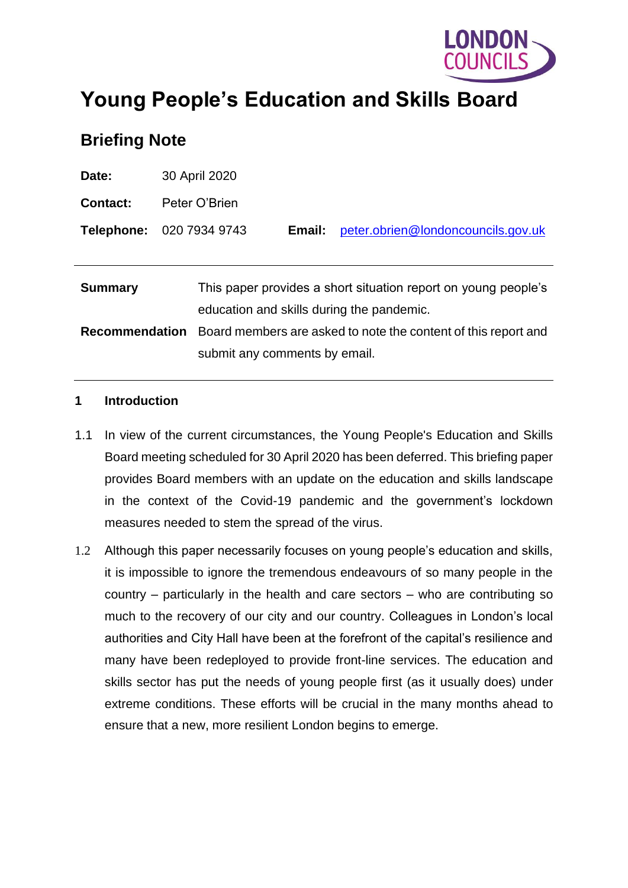

# **Young People's Education and Skills Board**

# **Briefing Note**

| Date:                 | 30 April 2020                                                                                               |                                                                |        |                                    |  |
|-----------------------|-------------------------------------------------------------------------------------------------------------|----------------------------------------------------------------|--------|------------------------------------|--|
| <b>Contact:</b>       | Peter O'Brien                                                                                               |                                                                |        |                                    |  |
|                       | <b>Telephone: 020 7934 9743</b>                                                                             |                                                                | Email: | peter.obrien@londoncouncils.gov.uk |  |
|                       |                                                                                                             |                                                                |        |                                    |  |
| <b>Summary</b>        | This paper provides a short situation report on young people's<br>education and skills during the pandemic. |                                                                |        |                                    |  |
| <b>Recommendation</b> |                                                                                                             | Board members are asked to note the content of this report and |        |                                    |  |
|                       |                                                                                                             | submit any comments by email.                                  |        |                                    |  |

#### **1 Introduction**

- 1.1 In view of the current circumstances, the Young People's Education and Skills Board meeting scheduled for 30 April 2020 has been deferred. This briefing paper provides Board members with an update on the education and skills landscape in the context of the Covid-19 pandemic and the government's lockdown measures needed to stem the spread of the virus.
- 1.2 Although this paper necessarily focuses on young people's education and skills, it is impossible to ignore the tremendous endeavours of so many people in the country – particularly in the health and care sectors – who are contributing so much to the recovery of our city and our country. Colleagues in London's local authorities and City Hall have been at the forefront of the capital's resilience and many have been redeployed to provide front-line services. The education and skills sector has put the needs of young people first (as it usually does) under extreme conditions. These efforts will be crucial in the many months ahead to ensure that a new, more resilient London begins to emerge.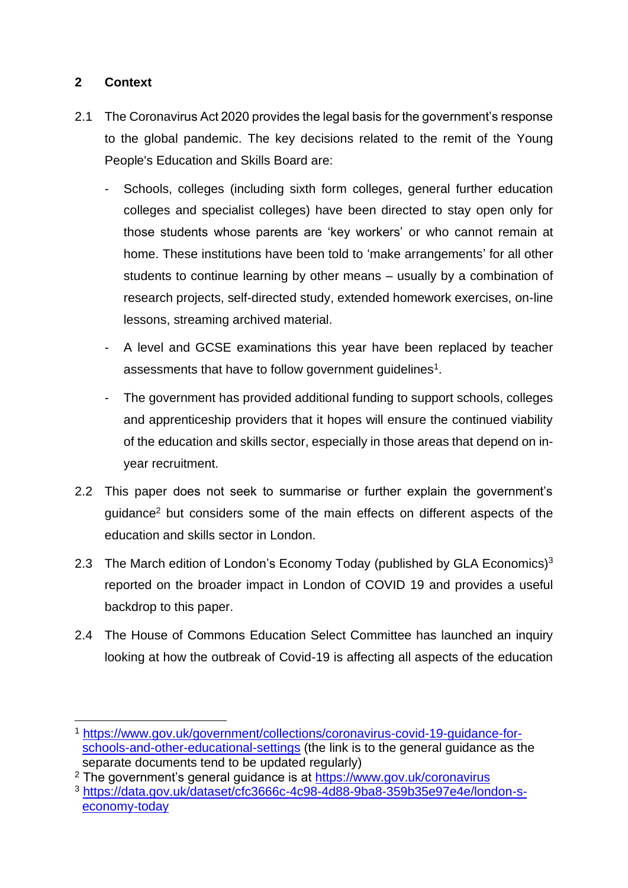## **2 Context**

- 2.1 The Coronavirus Act 2020 provides the legal basis for the government's response to the global pandemic. The key decisions related to the remit of the Young People's Education and Skills Board are:
	- Schools, colleges (including sixth form colleges, general further education colleges and specialist colleges) have been directed to stay open only for those students whose parents are 'key workers' or who cannot remain at home. These institutions have been told to 'make arrangements' for all other students to continue learning by other means – usually by a combination of research projects, self-directed study, extended homework exercises, on-line lessons, streaming archived material.
	- A level and GCSE examinations this year have been replaced by teacher assessments that have to follow government guidelines<sup>1</sup>.
	- The government has provided additional funding to support schools, colleges and apprenticeship providers that it hopes will ensure the continued viability of the education and skills sector, especially in those areas that depend on inyear recruitment.
- 2.2 This paper does not seek to summarise or further explain the government's guidance<sup>2</sup> but considers some of the main effects on different aspects of the education and skills sector in London.
- 2.3 The March edition of London's Economy Today (published by GLA Economics) $3$ reported on the broader impact in London of COVID 19 and provides a useful backdrop to this paper.
- 2.4 The House of Commons Education Select Committee has launched an inquiry looking at how the outbreak of Covid-19 is affecting all aspects of the education

<sup>1</sup> [https://www.gov.uk/government/collections/coronavirus-covid-19-guidance-for](https://www.gov.uk/government/collections/coronavirus-covid-19-guidance-for-schools-and-other-educational-settings)[schools-and-other-educational-settings](https://www.gov.uk/government/collections/coronavirus-covid-19-guidance-for-schools-and-other-educational-settings) (the link is to the general guidance as the separate documents tend to be updated regularly)

<sup>&</sup>lt;sup>2</sup> The government's general guidance is at<https://www.gov.uk/coronavirus>

<sup>3</sup> [https://data.gov.uk/dataset/cfc3666c-4c98-4d88-9ba8-359b35e97e4e/london-s](https://data.gov.uk/dataset/cfc3666c-4c98-4d88-9ba8-359b35e97e4e/london-s-economy-today)[economy-today](https://data.gov.uk/dataset/cfc3666c-4c98-4d88-9ba8-359b35e97e4e/london-s-economy-today)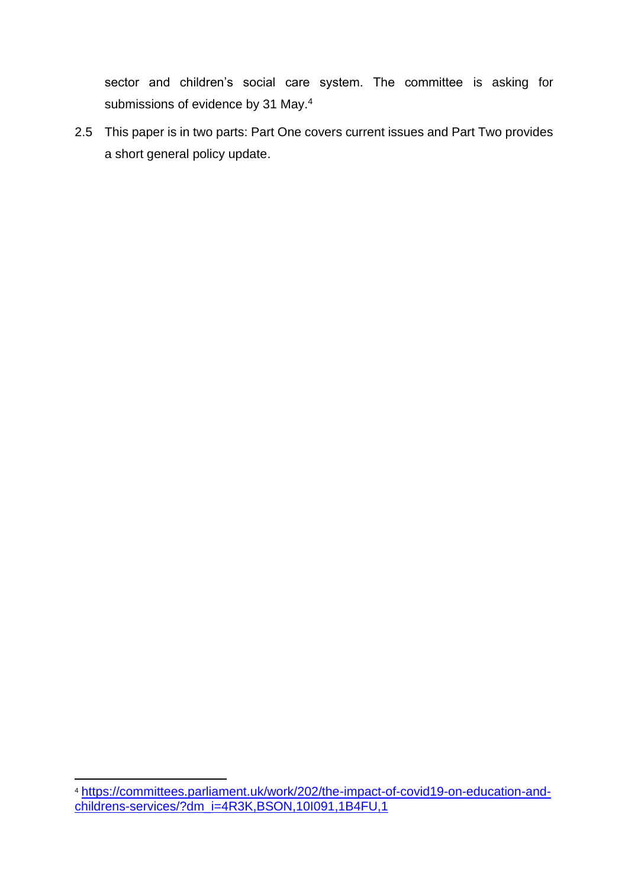sector and children's social care system. The committee is asking for submissions of evidence by 31 May.<sup>4</sup>

2.5 This paper is in two parts: Part One covers current issues and Part Two provides a short general policy update.

<sup>4</sup> [https://committees.parliament.uk/work/202/the-impact-of-covid19-on-education-and](https://committees.parliament.uk/work/202/the-impact-of-covid19-on-education-and-childrens-services/?dm_i=4R3K,BSON,10I091,1B4FU,1)[childrens-services/?dm\\_i=4R3K,BSON,10I091,1B4FU,1](https://committees.parliament.uk/work/202/the-impact-of-covid19-on-education-and-childrens-services/?dm_i=4R3K,BSON,10I091,1B4FU,1)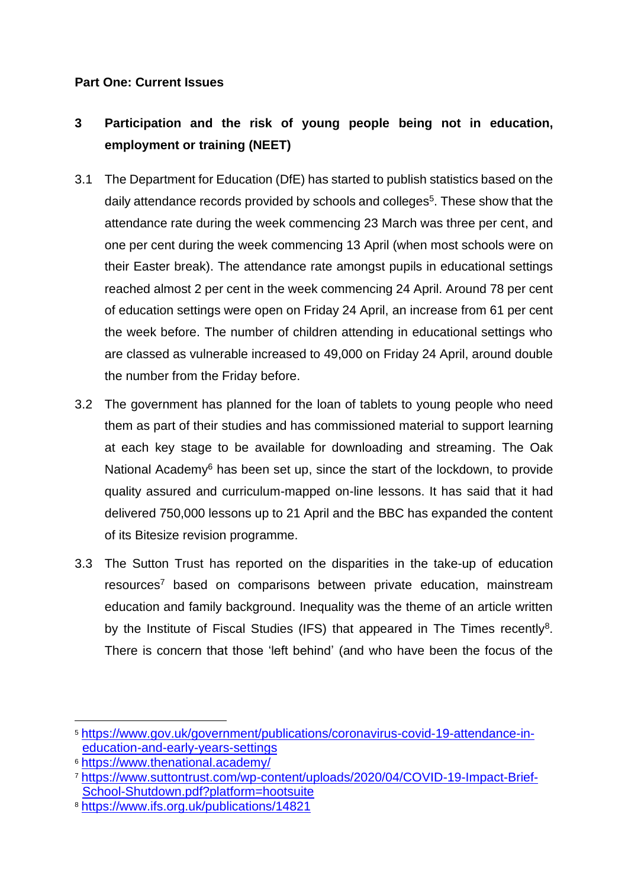#### **Part One: Current Issues**

# **3 Participation and the risk of young people being not in education, employment or training (NEET)**

- 3.1 The Department for Education (DfE) has started to publish statistics based on the daily attendance records provided by schools and colleges<sup>5</sup>. These show that the attendance rate during the week commencing 23 March was three per cent, and one per cent during the week commencing 13 April (when most schools were on their Easter break). The attendance rate amongst pupils in educational settings reached almost 2 per cent in the week commencing 24 April. Around 78 per cent of education settings were open on Friday 24 April, an increase from 61 per cent the week before. The number of children attending in educational settings who are classed as vulnerable increased to 49,000 on Friday 24 April, around double the number from the Friday before.
- 3.2 The government has planned for the loan of tablets to young people who need them as part of their studies and has commissioned material to support learning at each key stage to be available for downloading and streaming. The Oak National Academy<sup>6</sup> has been set up, since the start of the lockdown, to provide quality assured and curriculum-mapped on-line lessons. It has said that it had delivered 750,000 lessons up to 21 April and the BBC has expanded the content of its Bitesize revision programme.
- 3.3 The Sutton Trust has reported on the disparities in the take-up of education resources<sup>7</sup> based on comparisons between private education, mainstream education and family background. Inequality was the theme of an article written by the Institute of Fiscal Studies (IFS) that appeared in The Times recently<sup>8</sup>. There is concern that those 'left behind' (and who have been the focus of the

<sup>5</sup> [https://www.gov.uk/government/publications/coronavirus-covid-19-attendance-in](https://www.gov.uk/government/publications/coronavirus-covid-19-attendance-in-education-and-early-years-settings)[education-and-early-years-settings](https://www.gov.uk/government/publications/coronavirus-covid-19-attendance-in-education-and-early-years-settings)

<sup>6</sup> <https://www.thenational.academy/>

<sup>7</sup> [https://www.suttontrust.com/wp-content/uploads/2020/04/COVID-19-Impact-Brief-](https://www.suttontrust.com/wp-content/uploads/2020/04/COVID-19-Impact-Brief-School-Shutdown.pdf?platform=hootsuite)[School-Shutdown.pdf?platform=hootsuite](https://www.suttontrust.com/wp-content/uploads/2020/04/COVID-19-Impact-Brief-School-Shutdown.pdf?platform=hootsuite)

<sup>8</sup> <https://www.ifs.org.uk/publications/14821>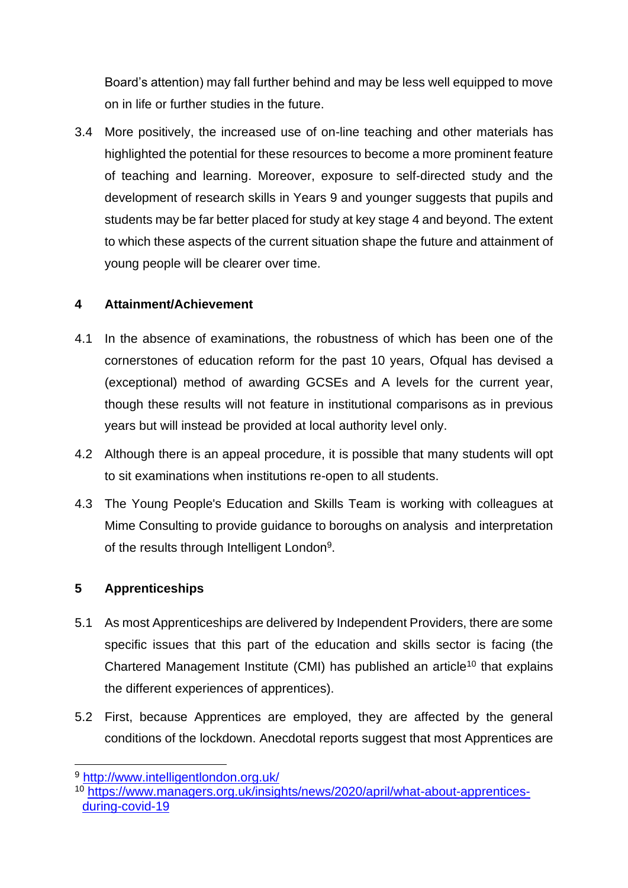Board's attention) may fall further behind and may be less well equipped to move on in life or further studies in the future.

3.4 More positively, the increased use of on-line teaching and other materials has highlighted the potential for these resources to become a more prominent feature of teaching and learning. Moreover, exposure to self-directed study and the development of research skills in Years 9 and younger suggests that pupils and students may be far better placed for study at key stage 4 and beyond. The extent to which these aspects of the current situation shape the future and attainment of young people will be clearer over time.

## **4 Attainment/Achievement**

- 4.1 In the absence of examinations, the robustness of which has been one of the cornerstones of education reform for the past 10 years, Ofqual has devised a (exceptional) method of awarding GCSEs and A levels for the current year, though these results will not feature in institutional comparisons as in previous years but will instead be provided at local authority level only.
- 4.2 Although there is an appeal procedure, it is possible that many students will opt to sit examinations when institutions re-open to all students.
- 4.3 The Young People's Education and Skills Team is working with colleagues at Mime Consulting to provide guidance to boroughs on analysis and interpretation of the results through Intelligent London<sup>9</sup>.

## **5 Apprenticeships**

- 5.1 As most Apprenticeships are delivered by Independent Providers, there are some specific issues that this part of the education and skills sector is facing (the Chartered Management Institute (CMI) has published an article<sup>10</sup> that explains the different experiences of apprentices).
- 5.2 First, because Apprentices are employed, they are affected by the general conditions of the lockdown. Anecdotal reports suggest that most Apprentices are

<sup>9</sup> <http://www.intelligentlondon.org.uk/>

<sup>10</sup> [https://www.managers.org.uk/insights/news/2020/april/what-about-apprentices](https://www.managers.org.uk/insights/news/2020/april/what-about-apprentices-during-covid-19)[during-covid-19](https://www.managers.org.uk/insights/news/2020/april/what-about-apprentices-during-covid-19)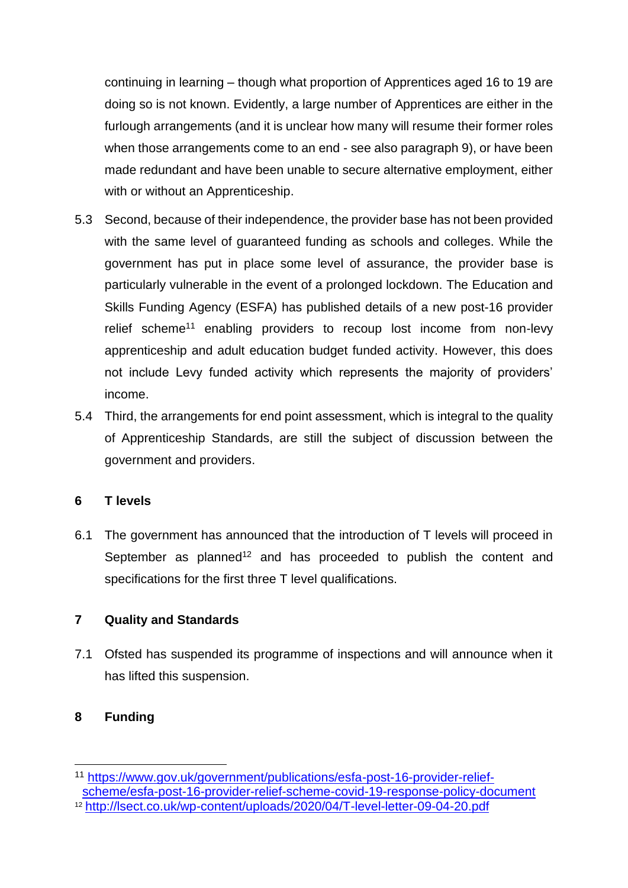continuing in learning – though what proportion of Apprentices aged 16 to 19 are doing so is not known. Evidently, a large number of Apprentices are either in the furlough arrangements (and it is unclear how many will resume their former roles when those arrangements come to an end - see also paragraph 9), or have been made redundant and have been unable to secure alternative employment, either with or without an Apprenticeship.

- 5.3 Second, because of their independence, the provider base has not been provided with the same level of guaranteed funding as schools and colleges. While the government has put in place some level of assurance, the provider base is particularly vulnerable in the event of a prolonged lockdown. The Education and Skills Funding Agency (ESFA) has published details of a new post-16 provider relief scheme<sup>11</sup> enabling providers to recoup lost income from non-levy apprenticeship and adult education budget funded activity. However, this does not include Levy funded activity which represents the majority of providers' income.
- 5.4 Third, the arrangements for end point assessment, which is integral to the quality of Apprenticeship Standards, are still the subject of discussion between the government and providers.

#### **6 T levels**

6.1 The government has announced that the introduction of T levels will proceed in September as planned<sup>12</sup> and has proceeded to publish the content and specifications for the first three T level qualifications.

#### **7 Quality and Standards**

7.1 Ofsted has suspended its programme of inspections and will announce when it has lifted this suspension.

#### **8 Funding**

<sup>11</sup> [https://www.gov.uk/government/publications/esfa-post-16-provider-relief](https://www.gov.uk/government/publications/esfa-post-16-provider-relief-scheme/esfa-post-16-provider-relief-scheme-covid-19-response-policy-document)[scheme/esfa-post-16-provider-relief-scheme-covid-19-response-policy-document](https://www.gov.uk/government/publications/esfa-post-16-provider-relief-scheme/esfa-post-16-provider-relief-scheme-covid-19-response-policy-document)

<sup>12</sup> <http://lsect.co.uk/wp-content/uploads/2020/04/T-level-letter-09-04-20.pdf>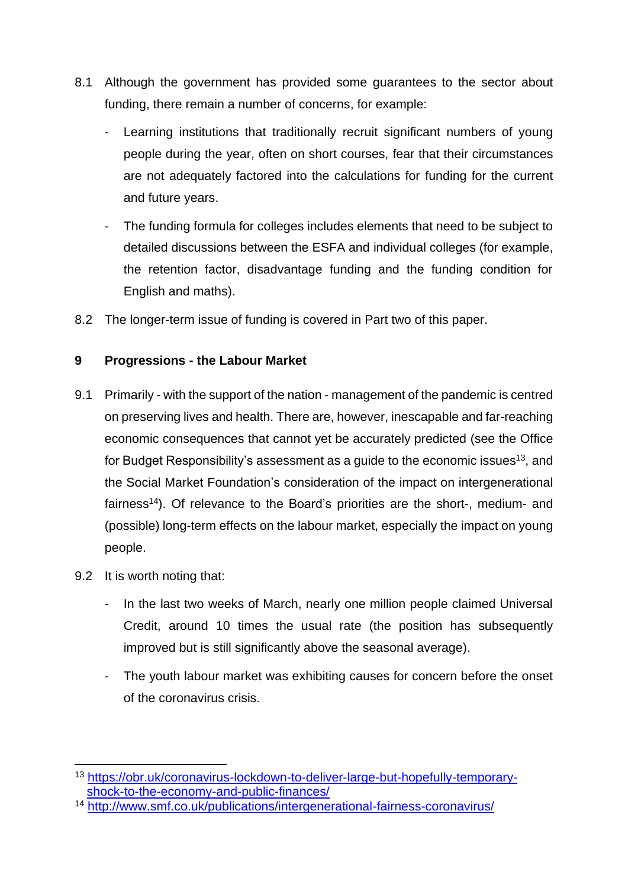- 8.1 Although the government has provided some guarantees to the sector about funding, there remain a number of concerns, for example:
	- Learning institutions that traditionally recruit significant numbers of young people during the year, often on short courses, fear that their circumstances are not adequately factored into the calculations for funding for the current and future years.
	- The funding formula for colleges includes elements that need to be subject to detailed discussions between the ESFA and individual colleges (for example, the retention factor, disadvantage funding and the funding condition for English and maths).
- 8.2 The longer-term issue of funding is covered in Part two of this paper.

#### **9 Progressions - the Labour Market**

- 9.1 Primarily with the support of the nation management of the pandemic is centred on preserving lives and health. There are, however, inescapable and far-reaching economic consequences that cannot yet be accurately predicted (see the Office for Budget Responsibility's assessment as a guide to the economic issues<sup>13</sup>, and the Social Market Foundation's consideration of the impact on intergenerational fairness<sup>14</sup>). Of relevance to the Board's priorities are the short-, medium- and (possible) long-term effects on the labour market, especially the impact on young people.
- 9.2 It is worth noting that:
	- In the last two weeks of March, nearly one million people claimed Universal Credit, around 10 times the usual rate (the position has subsequently improved but is still significantly above the seasonal average).
	- The youth labour market was exhibiting causes for concern before the onset of the coronavirus crisis.

<sup>13</sup> [https://obr.uk/coronavirus-lockdown-to-deliver-large-but-hopefully-temporary](https://obr.uk/coronavirus-lockdown-to-deliver-large-but-hopefully-temporary-shock-to-the-economy-and-public-finances/)[shock-to-the-economy-and-public-finances/](https://obr.uk/coronavirus-lockdown-to-deliver-large-but-hopefully-temporary-shock-to-the-economy-and-public-finances/)

<sup>14</sup> <http://www.smf.co.uk/publications/intergenerational-fairness-coronavirus/>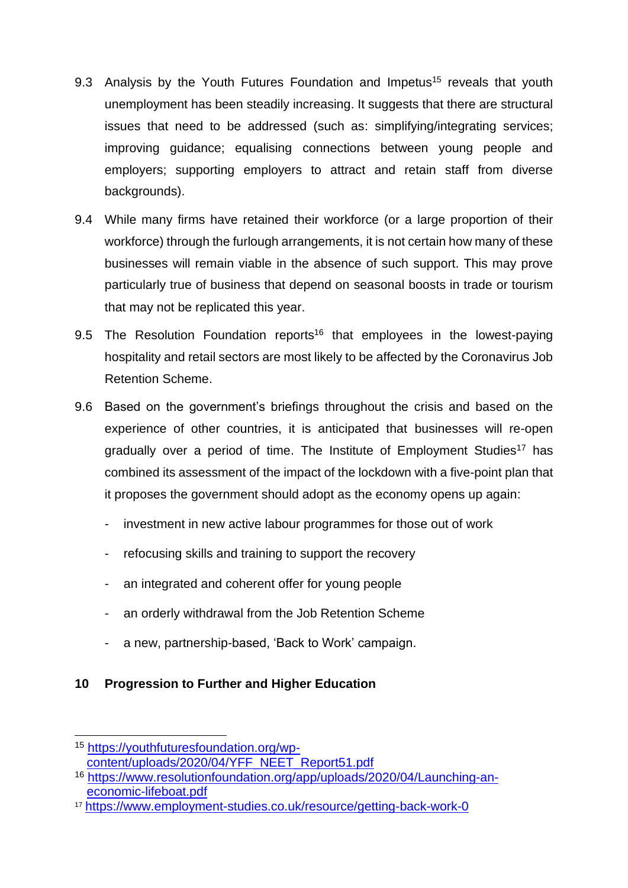- 9.3 Analysis by the Youth Futures Foundation and Impetus<sup>15</sup> reveals that youth unemployment has been steadily increasing. It suggests that there are structural issues that need to be addressed (such as: simplifying/integrating services; improving guidance; equalising connections between young people and employers; supporting employers to attract and retain staff from diverse backgrounds).
- 9.4 While many firms have retained their workforce (or a large proportion of their workforce) through the furlough arrangements, it is not certain how many of these businesses will remain viable in the absence of such support. This may prove particularly true of business that depend on seasonal boosts in trade or tourism that may not be replicated this year.
- 9.5 The Resolution Foundation reports<sup>16</sup> that employees in the lowest-paying hospitality and retail sectors are most likely to be affected by the Coronavirus Job Retention Scheme.
- 9.6 Based on the government's briefings throughout the crisis and based on the experience of other countries, it is anticipated that businesses will re-open gradually over a period of time. The Institute of Employment Studies<sup>17</sup> has combined its assessment of the impact of the lockdown with a five-point plan that it proposes the government should adopt as the economy opens up again:
	- investment in new active labour programmes for those out of work
	- refocusing skills and training to support the recovery
	- an integrated and coherent offer for young people
	- an orderly withdrawal from the Job Retention Scheme
	- a new, partnership-based, 'Back to Work' campaign.

## **10 Progression to Further and Higher Education**

<sup>15</sup> [https://youthfuturesfoundation.org/wp](https://youthfuturesfoundation.org/wp-content/uploads/2020/04/YFF_NEET_Report51.pdf)[content/uploads/2020/04/YFF\\_NEET\\_Report51.pdf](https://youthfuturesfoundation.org/wp-content/uploads/2020/04/YFF_NEET_Report51.pdf)

<sup>16</sup> [https://www.resolutionfoundation.org/app/uploads/2020/04/Launching-an](https://www.resolutionfoundation.org/app/uploads/2020/04/Launching-an-economic-lifeboat.pdf)[economic-lifeboat.pdf](https://www.resolutionfoundation.org/app/uploads/2020/04/Launching-an-economic-lifeboat.pdf)

<sup>17</sup> <https://www.employment-studies.co.uk/resource/getting-back-work-0>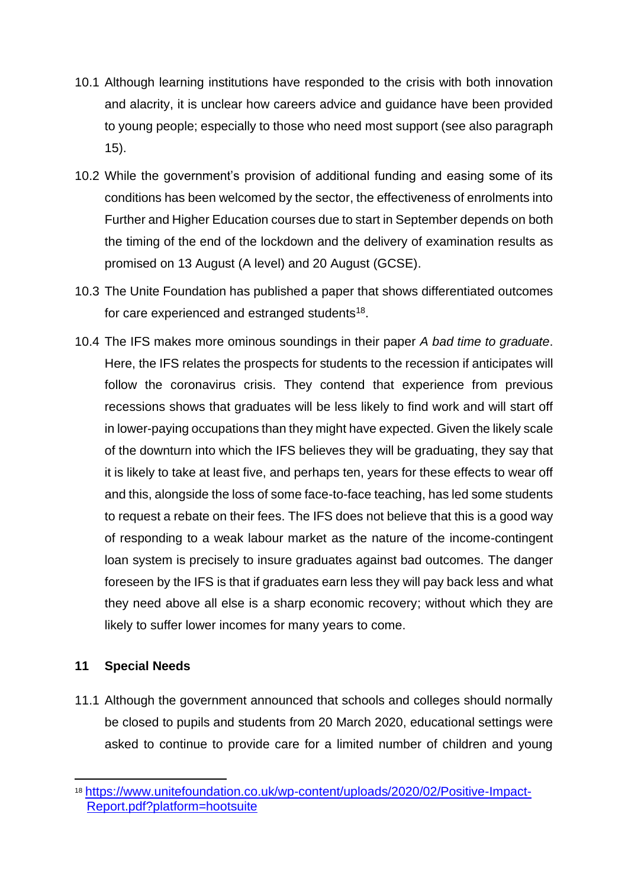- 10.1 Although learning institutions have responded to the crisis with both innovation and alacrity, it is unclear how careers advice and guidance have been provided to young people; especially to those who need most support (see also paragraph 15).
- 10.2 While the government's provision of additional funding and easing some of its conditions has been welcomed by the sector, the effectiveness of enrolments into Further and Higher Education courses due to start in September depends on both the timing of the end of the lockdown and the delivery of examination results as promised on 13 August (A level) and 20 August (GCSE).
- 10.3 The Unite Foundation has published a paper that shows differentiated outcomes for care experienced and estranged students $^{18}$ .
- 10.4 The IFS makes more ominous soundings in their paper *A bad time to graduate*. Here, the IFS relates the prospects for students to the recession if anticipates will follow the coronavirus crisis. They contend that experience from previous recessions shows that graduates will be less likely to find work and will start off in lower-paying occupations than they might have expected. Given the likely scale of the downturn into which the IFS believes they will be graduating, they say that it is likely to take at least five, and perhaps ten, years for these effects to wear off and this, alongside the loss of some face-to-face teaching, has led some students to request a rebate on their fees. The IFS does not believe that this is a good way of responding to a weak labour market as the nature of the income-contingent loan system is precisely to insure graduates against bad outcomes. The danger foreseen by the IFS is that if graduates earn less they will pay back less and what they need above all else is a sharp economic recovery; without which they are likely to suffer lower incomes for many years to come.

#### **11 Special Needs**

11.1 Although the government announced that schools and colleges should normally be closed to pupils and students from 20 March 2020, educational settings were asked to continue to provide care for a limited number of children and young

<sup>18</sup> [https://www.unitefoundation.co.uk/wp-content/uploads/2020/02/Positive-Impact-](https://www.unitefoundation.co.uk/wp-content/uploads/2020/02/Positive-Impact-Report.pdf?platform=hootsuite)[Report.pdf?platform=hootsuite](https://www.unitefoundation.co.uk/wp-content/uploads/2020/02/Positive-Impact-Report.pdf?platform=hootsuite)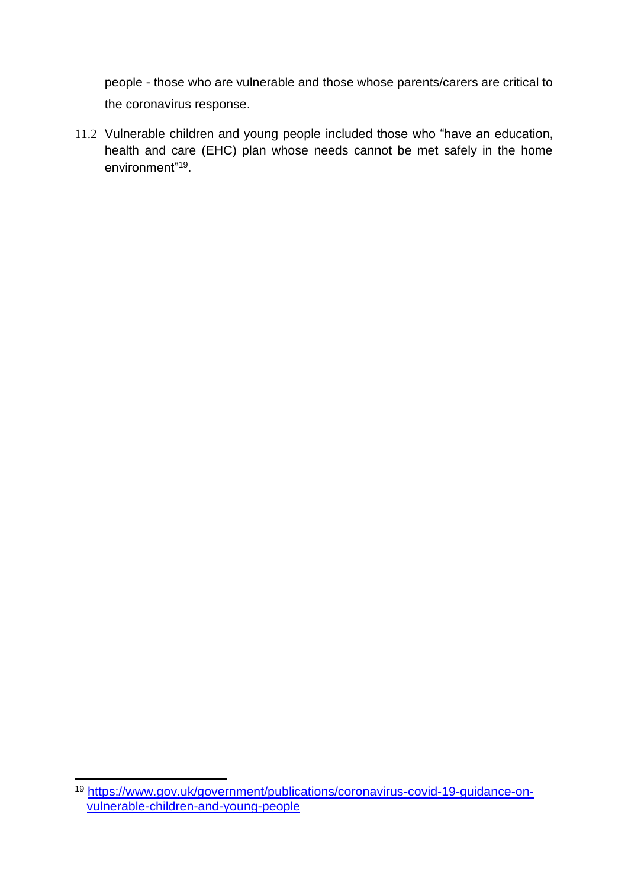people - those who are vulnerable and those whose parents/carers are critical to the coronavirus response.

11.2 Vulnerable children and young people included those who "have an education, health and care (EHC) plan whose needs cannot be met safely in the home environment"<sup>19</sup> .

<sup>19</sup> [https://www.gov.uk/government/publications/coronavirus-covid-19-guidance-on](https://www.gov.uk/government/publications/coronavirus-covid-19-guidance-on-vulnerable-children-and-young-people)[vulnerable-children-and-young-people](https://www.gov.uk/government/publications/coronavirus-covid-19-guidance-on-vulnerable-children-and-young-people)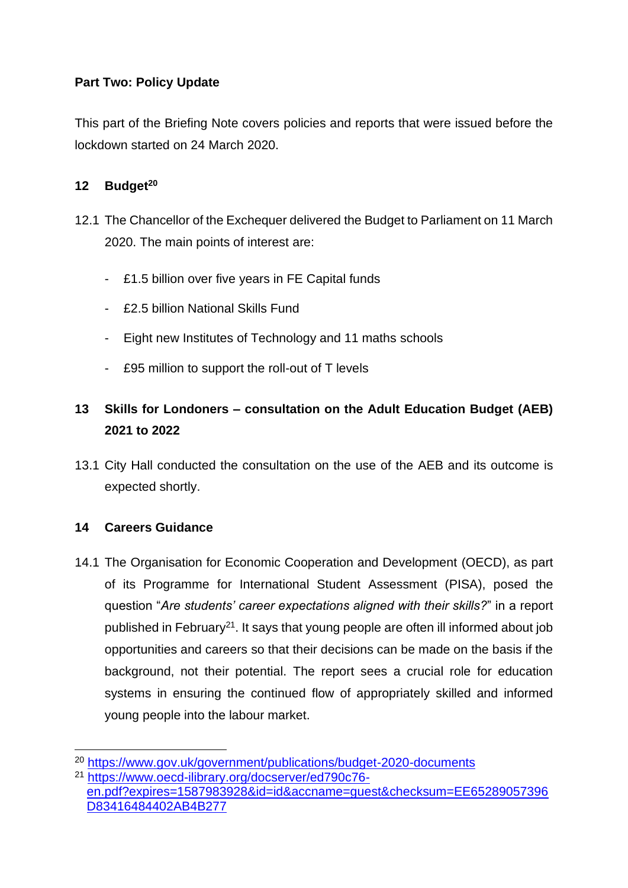#### **Part Two: Policy Update**

This part of the Briefing Note covers policies and reports that were issued before the lockdown started on 24 March 2020.

#### **12 Budget<sup>20</sup>**

- 12.1 The Chancellor of the Exchequer delivered the Budget to Parliament on 11 March 2020. The main points of interest are:
	- £1.5 billion over five years in FE Capital funds
	- £2.5 billion National Skills Fund
	- Eight new Institutes of Technology and 11 maths schools
	- £95 million to support the roll-out of T levels

# **13 Skills for Londoners – consultation on the Adult Education Budget (AEB) 2021 to 2022**

13.1 City Hall conducted the consultation on the use of the AEB and its outcome is expected shortly.

#### **14 Careers Guidance**

14.1 The Organisation for Economic Cooperation and Development (OECD), as part of its Programme for International Student Assessment (PISA), posed the question "*Are students' career expectations aligned with their skills?*" in a report published in February<sup>21</sup>. It says that young people are often ill informed about job opportunities and careers so that their decisions can be made on the basis if the background, not their potential. The report sees a crucial role for education systems in ensuring the continued flow of appropriately skilled and informed young people into the labour market.

<sup>20</sup> <https://www.gov.uk/government/publications/budget-2020-documents>

<sup>21</sup> [https://www.oecd-ilibrary.org/docserver/ed790c76](https://www.oecd-ilibrary.org/docserver/ed790c76-en.pdf?expires=1587983928&id=id&accname=guest&checksum=EE65289057396D83416484402AB4B277) [en.pdf?expires=1587983928&id=id&accname=guest&checksum=EE65289057396](https://www.oecd-ilibrary.org/docserver/ed790c76-en.pdf?expires=1587983928&id=id&accname=guest&checksum=EE65289057396D83416484402AB4B277) [D83416484402AB4B277](https://www.oecd-ilibrary.org/docserver/ed790c76-en.pdf?expires=1587983928&id=id&accname=guest&checksum=EE65289057396D83416484402AB4B277)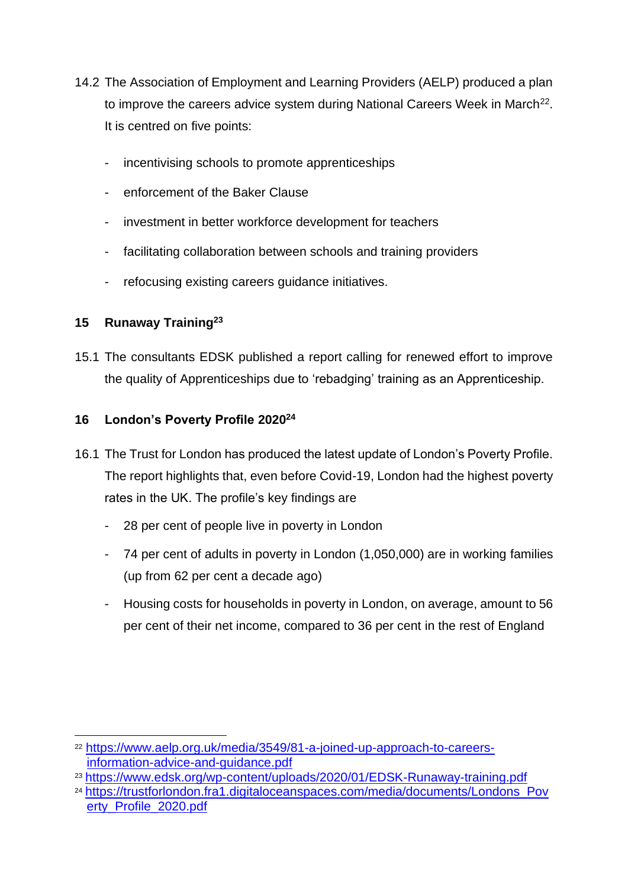- 14.2 The Association of Employment and Learning Providers (AELP) produced a plan to improve the careers advice system during National Careers Week in March<sup>22</sup>. It is centred on five points:
	- incentivising schools to promote apprenticeships
	- enforcement of the Baker Clause
	- investment in better workforce development for teachers
	- facilitating collaboration between schools and training providers
	- refocusing existing careers guidance initiatives.

## **15 Runaway Training<sup>23</sup>**

15.1 The consultants EDSK published a report calling for renewed effort to improve the quality of Apprenticeships due to 'rebadging' training as an Apprenticeship.

## **16 London's Poverty Profile 2020<sup>24</sup>**

- 16.1 The Trust for London has produced the latest update of London's Poverty Profile. The report highlights that, even before Covid-19, London had the highest poverty rates in the UK. The profile's key findings are
	- 28 per cent of people live in poverty in London
	- 74 per cent of adults in poverty in London (1,050,000) are in working families (up from 62 per cent a decade ago)
	- Housing costs for households in poverty in London, on average, amount to 56 per cent of their net income, compared to 36 per cent in the rest of England

<sup>22</sup> [https://www.aelp.org.uk/media/3549/81-a-joined-up-approach-to-careers](https://www.aelp.org.uk/media/3549/81-a-joined-up-approach-to-careers-information-advice-and-guidance.pdf)[information-advice-and-guidance.pdf](https://www.aelp.org.uk/media/3549/81-a-joined-up-approach-to-careers-information-advice-and-guidance.pdf)

<sup>23</sup> <https://www.edsk.org/wp-content/uploads/2020/01/EDSK-Runaway-training.pdf>

<sup>24</sup> .[https://trustforlondon.fra1.digitaloceanspaces.com/media/documents/Londons\\_Pov](https://trustforlondon.fra1.digitaloceanspaces.com/media/documents/Londons_Poverty_Profile_2020.pdf) [erty\\_Profile\\_2020.pdf](https://trustforlondon.fra1.digitaloceanspaces.com/media/documents/Londons_Poverty_Profile_2020.pdf)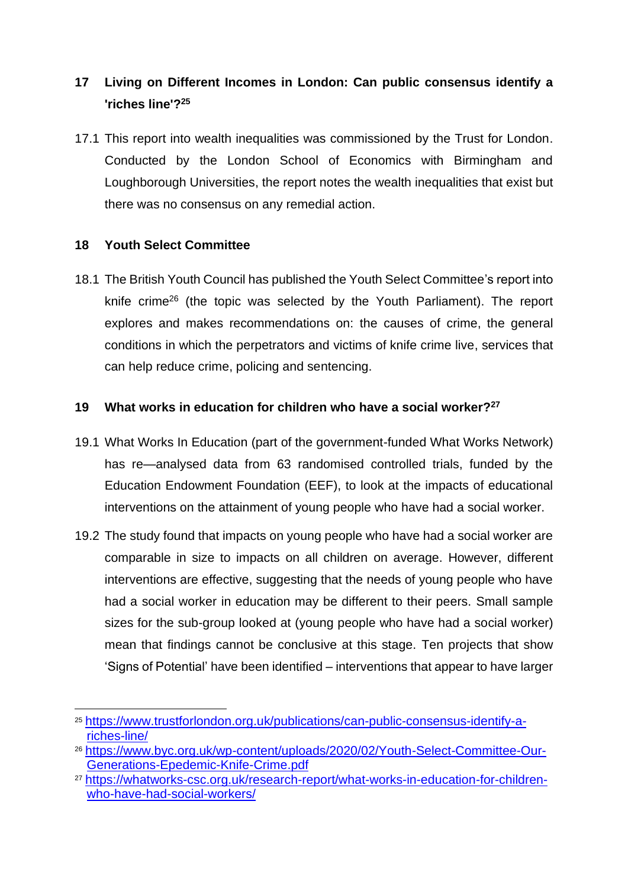# **17 Living on Different Incomes in London: Can public consensus identify a 'riches line'?<sup>25</sup>**

17.1 This report into wealth inequalities was commissioned by the Trust for London. Conducted by the London School of Economics with Birmingham and Loughborough Universities, the report notes the wealth inequalities that exist but there was no consensus on any remedial action.

#### **18 Youth Select Committee**

18.1 The British Youth Council has published the Youth Select Committee's report into knife crime<sup>26</sup> (the topic was selected by the Youth Parliament). The report explores and makes recommendations on: the causes of crime, the general conditions in which the perpetrators and victims of knife crime live, services that can help reduce crime, policing and sentencing.

#### **19 What works in education for children who have a social worker? 27**

- 19.1 What Works In Education (part of the government-funded What Works Network) has re—analysed data from 63 randomised controlled trials, funded by the Education Endowment Foundation (EEF), to look at the impacts of educational interventions on the attainment of young people who have had a social worker.
- 19.2 The study found that impacts on young people who have had a social worker are comparable in size to impacts on all children on average. However, different interventions are effective, suggesting that the needs of young people who have had a social worker in education may be different to their peers. Small sample sizes for the sub-group looked at (young people who have had a social worker) mean that findings cannot be conclusive at this stage. Ten projects that show 'Signs of Potential' have been identified – interventions that appear to have larger

<sup>25</sup> [https://www.trustforlondon.org.uk/publications/can-public-consensus-identify-a](https://www.trustforlondon.org.uk/publications/can-public-consensus-identify-a-riches-line/)[riches-line/](https://www.trustforlondon.org.uk/publications/can-public-consensus-identify-a-riches-line/)

<sup>26</sup> [https://www.byc.org.uk/wp-content/uploads/2020/02/Youth-Select-Committee-Our-](https://www.byc.org.uk/wp-content/uploads/2020/02/Youth-Select-Committee-Our-Generations-Epedemic-Knife-Crime.pdf)[Generations-Epedemic-Knife-Crime.pdf](https://www.byc.org.uk/wp-content/uploads/2020/02/Youth-Select-Committee-Our-Generations-Epedemic-Knife-Crime.pdf)

<sup>27</sup> [https://whatworks-csc.org.uk/research-report/what-works-in-education-for-children](https://whatworks-csc.org.uk/research-report/what-works-in-education-for-children-who-have-had-social-workers/)[who-have-had-social-workers/](https://whatworks-csc.org.uk/research-report/what-works-in-education-for-children-who-have-had-social-workers/)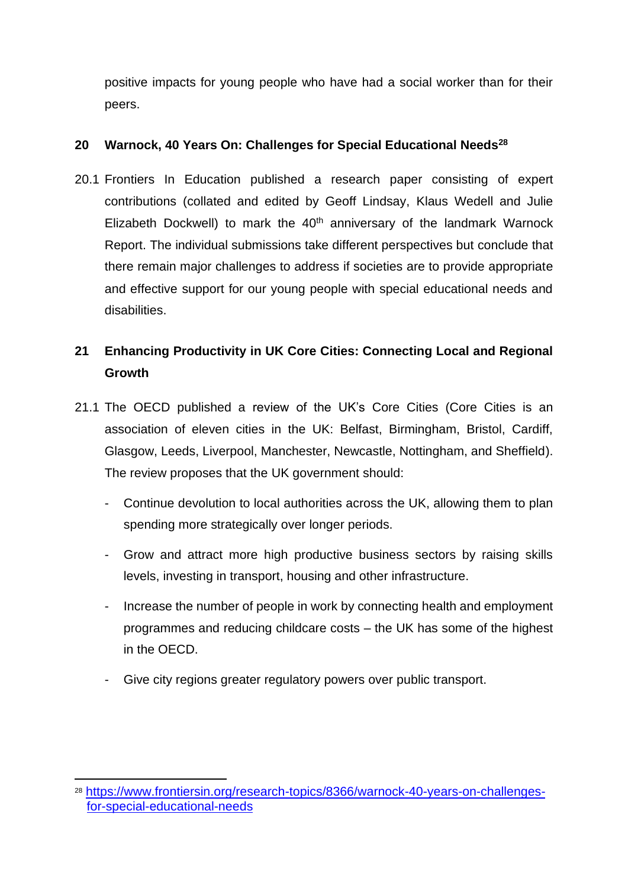positive impacts for young people who have had a social worker than for their peers.

#### **20 Warnock, 40 Years On: Challenges for Special Educational Needs<sup>28</sup>**

20.1 Frontiers In Education published a research paper consisting of expert contributions (collated and edited by Geoff Lindsay, Klaus Wedell and Julie Elizabeth Dockwell) to mark the  $40<sup>th</sup>$  anniversary of the landmark Warnock Report. The individual submissions take different perspectives but conclude that there remain major challenges to address if societies are to provide appropriate and effective support for our young people with special educational needs and disabilities.

# **21 Enhancing Productivity in UK Core Cities: Connecting Local and Regional Growth**

- 21.1 The OECD published a review of the UK's Core Cities (Core Cities is an association of eleven cities in the UK: Belfast, Birmingham, Bristol, Cardiff, Glasgow, Leeds, Liverpool, Manchester, Newcastle, Nottingham, and Sheffield). The review proposes that the UK government should:
	- Continue devolution to local authorities across the UK, allowing them to plan spending more strategically over longer periods.
	- Grow and attract more high productive business sectors by raising skills levels, investing in transport, housing and other infrastructure.
	- Increase the number of people in work by connecting health and employment programmes and reducing childcare costs – the UK has some of the highest in the OECD.
	- Give city regions greater regulatory powers over public transport.

<sup>28</sup> [https://www.frontiersin.org/research-topics/8366/warnock-40-years-on-challenges](https://www.frontiersin.org/research-topics/8366/warnock-40-years-on-challenges-for-special-educational-needs)[for-special-educational-needs](https://www.frontiersin.org/research-topics/8366/warnock-40-years-on-challenges-for-special-educational-needs)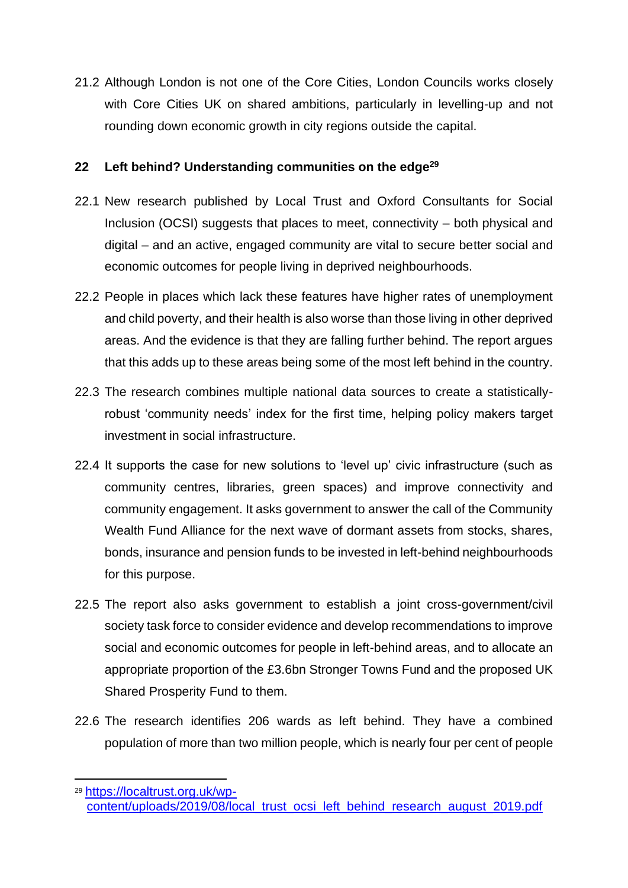21.2 Although London is not one of the Core Cities, London Councils works closely with Core Cities UK on shared ambitions, particularly in levelling-up and not rounding down economic growth in city regions outside the capital.

#### **22 Left behind? Understanding communities on the edge<sup>29</sup>**

- 22.1 New research published by Local Trust and Oxford Consultants for Social Inclusion (OCSI) suggests that places to meet, connectivity – both physical and digital – and an active, engaged community are vital to secure better social and economic outcomes for people living in deprived neighbourhoods.
- 22.2 People in places which lack these features have higher rates of unemployment and child poverty, and their health is also worse than those living in other deprived areas. And the evidence is that they are falling further behind. The report argues that this adds up to these areas being some of the most left behind in the country.
- 22.3 The research combines multiple national data sources to create a statisticallyrobust 'community needs' index for the first time, helping policy makers target investment in social infrastructure.
- 22.4 It supports the case for new solutions to 'level up' civic infrastructure (such as community centres, libraries, green spaces) and improve connectivity and community engagement. It asks government to answer the call of the Community Wealth Fund Alliance for the next wave of dormant assets from stocks, shares, bonds, insurance and pension funds to be invested in left-behind neighbourhoods for this purpose.
- 22.5 The report also asks government to establish a joint cross-government/civil society task force to consider evidence and develop recommendations to improve social and economic outcomes for people in left-behind areas, and to allocate an appropriate proportion of the £3.6bn Stronger Towns Fund and the proposed UK Shared Prosperity Fund to them.
- 22.6 The research identifies 206 wards as left behind. They have a combined population of more than two million people, which is nearly four per cent of people

<sup>29</sup> [https://localtrust.org.uk/wp-](https://localtrust.org.uk/wp-content/uploads/2019/08/local_trust_ocsi_left_behind_research_august_2019.pdf)

[content/uploads/2019/08/local\\_trust\\_ocsi\\_left\\_behind\\_research\\_august\\_2019.pdf](https://localtrust.org.uk/wp-content/uploads/2019/08/local_trust_ocsi_left_behind_research_august_2019.pdf)